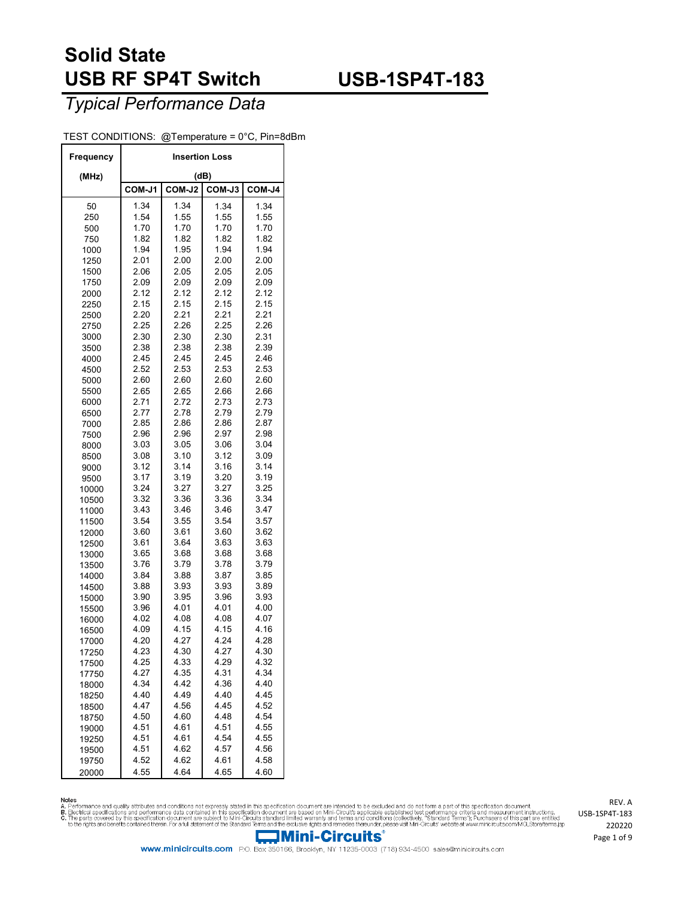## **USB-1SP4T-183**

### *Typical Performance Data*

#### TEST CONDITIONS: @Temperature = 0°C, Pin=8dBm

| Frequency      | <b>Insertion Loss</b> |              |              |              |  |  |  |  |  |
|----------------|-----------------------|--------------|--------------|--------------|--|--|--|--|--|
| (MHz)          |                       |              | (dB)         |              |  |  |  |  |  |
|                | COM-J1                | COM-J2       | COM-J3       | COM-J4       |  |  |  |  |  |
| 50             | 1.34                  | 1.34         | 1.34         | 1.34         |  |  |  |  |  |
| 250            | 1.54                  | 1.55         | 1.55         | 1.55         |  |  |  |  |  |
| 500            | 1.70                  | 1.70         | 1.70         | 1.70         |  |  |  |  |  |
| 750            | 1.82                  | 1.82         | 1.82         | 1.82         |  |  |  |  |  |
| 1000           | 1.94                  | 1.95         | 1.94         | 1.94         |  |  |  |  |  |
| 1250           | 2.01                  | 2.00         | 2.00         | 2.00         |  |  |  |  |  |
| 1500           | 2.06                  | 2.05         | 2.05         | 2.05         |  |  |  |  |  |
| 1750           | 2.09                  | 2.09         | 2.09         | 2.09         |  |  |  |  |  |
| 2000           | 2.12                  | 2.12<br>2.15 | 2.12         | 2.12         |  |  |  |  |  |
| 2250           | 2.15<br>2.20          | 2.21         | 2.15<br>2.21 | 2.15<br>2.21 |  |  |  |  |  |
| 2500<br>2750   | 2.25                  | 2.26         | 2.25         | 2.26         |  |  |  |  |  |
| 3000           | 2.30                  | 2.30         | 2.30         | 2.31         |  |  |  |  |  |
| 3500           | 2.38                  | 2.38         | 2.38         | 2.39         |  |  |  |  |  |
| 4000           | 2.45                  | 2.45         | 2.45         | 2.46         |  |  |  |  |  |
| 4500           | 2.52                  | 2.53         | 2.53         | 2.53         |  |  |  |  |  |
| 5000           | 2.60                  | 2.60         | 2.60         | 2.60         |  |  |  |  |  |
| 5500           | 2.65                  | 2.65         | 2.66         | 2.66         |  |  |  |  |  |
| 6000           | 2.71                  | 2.72         | 2.73         | 2.73         |  |  |  |  |  |
| 6500           | 2.77                  | 2.78         | 2.79         | 2.79         |  |  |  |  |  |
| 7000           | 2.85                  | 2.86         | 2.86         | 2.87         |  |  |  |  |  |
| 7500           | 2.96                  | 2.96         | 2.97         | 2.98         |  |  |  |  |  |
| 8000           | 3.03                  | 3.05         | 3.06         | 3.04         |  |  |  |  |  |
| 8500           | 3.08                  | 3.10         | 3.12         | 3.09         |  |  |  |  |  |
| 9000           | 3.12                  | 3.14         | 3.16         | 3.14         |  |  |  |  |  |
| 9500           | 3.17                  | 3.19         | 3.20         | 3.19         |  |  |  |  |  |
| 10000          | 3.24                  | 3.27         | 3.27         | 3.25         |  |  |  |  |  |
| 10500          | 3.32                  | 3.36         | 3.36         | 3.34         |  |  |  |  |  |
| 11000          | 3.43<br>3.54          | 3.46<br>3.55 | 3.46<br>3.54 | 3.47<br>3.57 |  |  |  |  |  |
| 11500          | 3.60                  | 3.61         | 3.60         | 3.62         |  |  |  |  |  |
| 12000<br>12500 | 3.61                  | 3.64         | 3.63         | 3.63         |  |  |  |  |  |
| 13000          | 3.65                  | 3.68         | 3.68         | 3.68         |  |  |  |  |  |
| 13500          | 3.76                  | 3.79         | 3.78         | 3.79         |  |  |  |  |  |
| 14000          | 3.84                  | 3.88         | 3.87         | 3.85         |  |  |  |  |  |
| 14500          | 3.88                  | 3.93         | 3.93         | 3.89         |  |  |  |  |  |
| 15000          | 3.90                  | 3.95         | 3.96         | 3.93         |  |  |  |  |  |
| 15500          | 3.96                  | 4.01         | 4.01         | 4.00         |  |  |  |  |  |
| 16000          | 4.02                  | 4.08         | 4.08         | 4.07         |  |  |  |  |  |
| 16500          | 4.09                  | 4.15         | 4.15         | 4.16         |  |  |  |  |  |
| 17000          | 4.20                  | 4.27         | 4.24         | 4.28         |  |  |  |  |  |
| 17250          | 4.23                  | 4.30         | 4.27         | 4.30         |  |  |  |  |  |
| 17500          | 4.25                  | 4.33         | 4.29         | 4.32         |  |  |  |  |  |
| 17750          | 4.27                  | 4.35         | 4.31         | 4.34         |  |  |  |  |  |
| 18000          | 4.34                  | 4.42         | 4.36         | 4.40         |  |  |  |  |  |
| 18250          | 4.40<br>4.47          | 4.49<br>4.56 | 4.40<br>4.45 | 4.45<br>4.52 |  |  |  |  |  |
| 18500          | 4.50                  | 4.60         | 4.48         | 4.54         |  |  |  |  |  |
| 18750          | 4.51                  | 4.61         | 4.51         | 4.55         |  |  |  |  |  |
| 19000<br>19250 | 4.51                  | 4.61         | 4.54         | 4.55         |  |  |  |  |  |
| 19500          | 4.51                  | 4.62         | 4.57         | 4.56         |  |  |  |  |  |
| 19750          | 4.52                  | 4.62         | 4.61         | 4.58         |  |  |  |  |  |
| 20000          | 4.55                  | 4.64         | 4.65         | 4.60         |  |  |  |  |  |

Notes<br>A. Performance and quality attributes and conditions not expressly stated in this specification document are intended to be excluded and do not form a part of this specification document.<br>B. Beotrical specifications



www.minicircuits.com P.O. Box 350166, Brooklyn, NY 11235-0003 (718) 934-4500 sales@minicircuits.com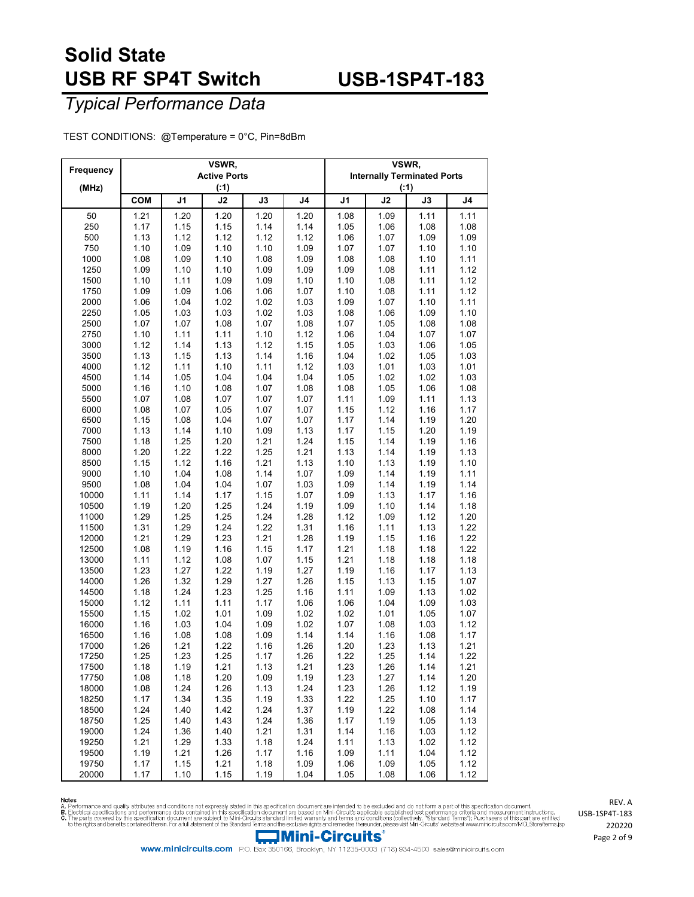## **USB-1SP4T-183**

### *Typical Performance Data*

TEST CONDITIONS: @Temperature = 0°C, Pin=8dBm

| Frequency      |              |                | VSWR,<br><b>Active Ports</b> |               | VSWR,<br><b>Internally Terminated Ports</b> |              |              |               |                |
|----------------|--------------|----------------|------------------------------|---------------|---------------------------------------------|--------------|--------------|---------------|----------------|
| (MHz)          |              |                | ( : 1)                       |               |                                             | (.1)         |              |               |                |
|                | <b>COM</b>   | J <sub>1</sub> | J2                           | $\mathsf{J3}$ | J <sub>4</sub>                              | J1           | J2           | $\mathsf{J3}$ | J <sub>4</sub> |
| 50             | 1.21         | 1.20           | 1.20                         | 1.20          | 1.20                                        | 1.08         | 1.09         | 1.11          | 1.11           |
| 250            | 1.17         | 1.15           | 1.15                         | 1.14          | 1.14                                        | 1.05         | 1.06         | 1.08          | 1.08           |
| 500            | 1.13         | 1.12           | 1.12                         | 1.12          | 1.12                                        | 1.06         | 1.07         | 1.09          | 1.09           |
| 750            | 1.10         | 1.09           | 1.10                         | 1.10          | 1.09                                        | 1.07         | 1.07         | 1.10          | 1.10           |
| 1000           | 1.08         | 1.09           | 1.10                         | 1.08          | 1.09                                        | 1.08         | 1.08         | 1.10          | 1.11           |
| 1250           | 1.09         | 1.10           | 1.10                         | 1.09          | 1.09                                        | 1.09         | 1.08         | 1.11          | 1.12           |
| 1500           | 1.10         | 1.11           | 1.09                         | 1.09          | 1.10                                        | 1.10         | 1.08         | 1.11          | 1.12           |
| 1750           | 1.09         | 1.09           | 1.06                         | 1.06          | 1.07                                        | 1.10         | 1.08         | 1.11          | 1.12           |
| 2000<br>2250   | 1.06<br>1.05 | 1.04           | 1.02<br>1.03                 | 1.02          | 1.03                                        | 1.09         | 1.07<br>1.06 | 1.10<br>1.09  | 1.11           |
| 2500           | 1.07         | 1.03<br>1.07   | 1.08                         | 1.02<br>1.07  | 1.03<br>1.08                                | 1.08<br>1.07 | 1.05         | 1.08          | 1.10<br>1.08   |
| 2750           | 1.10         | 1.11           | 1.11                         | 1.10          | 1.12                                        | 1.06         | 1.04         | 1.07          | 1.07           |
| 3000           | 1.12         | 1.14           | 1.13                         | 1.12          | 1.15                                        | 1.05         | 1.03         | 1.06          | 1.05           |
| 3500           | 1.13         | 1.15           | 1.13                         | 1.14          | 1.16                                        | 1.04         | 1.02         | 1.05          | 1.03           |
| 4000           | 1.12         | 1.11           | 1.10                         | 1.11          | 1.12                                        | 1.03         | 1.01         | 1.03          | 1.01           |
| 4500           | 1.14         | 1.05           | 1.04                         | 1.04          | 1.04                                        | 1.05         | 1.02         | 1.02          | 1.03           |
| 5000           | 1.16         | 1.10           | 1.08                         | 1.07          | 1.08                                        | 1.08         | 1.05         | 1.06          | 1.08           |
| 5500           | 1.07         | 1.08           | 1.07                         | 1.07          | 1.07                                        | 1.11         | 1.09         | 1.11          | 1.13           |
| 6000           | 1.08         | 1.07           | 1.05                         | 1.07          | 1.07                                        | 1.15         | 1.12         | 1.16          | 1.17           |
| 6500           | 1.15         | 1.08           | 1.04                         | 1.07          | 1.07                                        | 1.17         | 1.14         | 1.19          | 1.20           |
| 7000           | 1.13         | 1.14           | 1.10                         | 1.09          | 1.13                                        | 1.17         | 1.15         | 1.20          | 1.19           |
| 7500           | 1.18         | 1.25           | 1.20                         | 1.21          | 1.24                                        | 1.15         | 1.14         | 1.19          | 1.16           |
| 8000           | 1.20         | 1.22           | 1.22                         | 1.25          | 1.21                                        | 1.13         | 1.14         | 1.19          | 1.13           |
| 8500           | 1.15         | 1.12           | 1.16                         | 1.21          | 1.13                                        | 1.10         | 1.13         | 1.19          | 1.10           |
| 9000           | 1.10         | 1.04           | 1.08                         | 1.14          | 1.07                                        | 1.09         | 1.14         | 1.19          | 1.11           |
| 9500           | 1.08         | 1.04           | 1.04                         | 1.07          | 1.03                                        | 1.09         | 1.14         | 1.19          | 1.14           |
| 10000          | 1.11         | 1.14           | 1.17                         | 1.15          | 1.07                                        | 1.09         | 1.13         | 1.17          | 1.16           |
| 10500          | 1.19         | 1.20           | 1.25                         | 1.24          | 1.19                                        | 1.09         | 1.10         | 1.14          | 1.18           |
| 11000          | 1.29         | 1.25           | 1.25                         | 1.24          | 1.28                                        | 1.12         | 1.09         | 1.12          | 1.20           |
| 11500          | 1.31<br>1.21 | 1.29<br>1.29   | 1.24                         | 1.22          | 1.31                                        | 1.16         | 1.11         | 1.13          | 1.22           |
| 12000<br>12500 | 1.08         | 1.19           | 1.23<br>1.16                 | 1.21<br>1.15  | 1.28<br>1.17                                | 1.19<br>1.21 | 1.15<br>1.18 | 1.16<br>1.18  | 1.22<br>1.22   |
| 13000          | 1.11         | 1.12           | 1.08                         | 1.07          | 1.15                                        | 1.21         | 1.18         | 1.18          | 1.18           |
| 13500          | 1.23         | 1.27           | 1.22                         | 1.19          | 1.27                                        | 1.19         | 1.16         | 1.17          | 1.13           |
| 14000          | 1.26         | 1.32           | 1.29                         | 1.27          | 1.26                                        | 1.15         | 1.13         | 1.15          | 1.07           |
| 14500          | 1.18         | 1.24           | 1.23                         | 1.25          | 1.16                                        | 1.11         | 1.09         | 1.13          | 1.02           |
| 15000          | 1.12         | 1.11           | 1.11                         | 1.17          | 1.06                                        | 1.06         | 1.04         | 1.09          | 1.03           |
| 15500          | 1.15         | 1.02           | 1.01                         | 1.09          | 1.02                                        | 1.02         | 1.01         | 1.05          | 1.07           |
| 16000          | 1.16         | 1.03           | 1.04                         | 1.09          | 1.02                                        | 1.07         | 1.08         | 1.03          | 1.12           |
| 16500          | 1.16         | 1.08           | 1.08                         | 1.09          | 1.14                                        | 1.14         | 1.16         | 1.08          | 1.17           |
| 17000          | 1.26         | 1.21           | 1.22                         | 1.16          | 1.26                                        | 1.20         | 1.23         | 1.13          | 1.21           |
| 17250          | 1.25         | 1.23           | 1.25                         | 1.17          | 1.26                                        | 1.22         | 1.25         | 1.14          | 1.22           |
| 17500          | 1.18         | 1.19           | 1.21                         | 1.13          | 1.21                                        | 1.23         | 1.26         | 1.14          | 1.21           |
| 17750          | 1.08         | 1.18           | 1.20                         | 1.09          | 1.19                                        | 1.23         | 1.27         | 1.14          | 1.20           |
| 18000          | 1.08         | 1.24           | 1.26                         | 1.13          | 1.24                                        | 1.23         | 1.26         | 1.12          | 1.19           |
| 18250          | 1.17         | 1.34           | 1.35                         | 1.19          | 1.33                                        | 1.22         | 1.25         | 1.10          | 1.17           |
| 18500          | 1.24         | 1.40           | 1.42                         | 1.24          | 1.37                                        | 1.19         | 1.22         | 1.08          | 1.14           |
| 18750<br>19000 | 1.25<br>1.24 | 1.40<br>1.36   | 1.43<br>1.40                 | 1.24<br>1.21  | 1.36<br>1.31                                | 1.17<br>1.14 | 1.19<br>1.16 | 1.05<br>1.03  | 1.13<br>1.12   |
| 19250          | 1.21         | 1.29           | 1.33                         | 1.18          | 1.24                                        | 1.11         | 1.13         | 1.02          | 1.12           |
| 19500          | 1.19         | 1.21           | 1.26                         | 1.17          | 1.16                                        | 1.09         | 1.11         | 1.04          | 1.12           |
| 19750          | 1.17         | 1.15           | 1.21                         | 1.18          | 1.09                                        | 1.06         | 1.09         | 1.05          | 1.12           |
| 20000          | 1.17         | 1.10           | 1.15                         | 1.19          | 1.04                                        | 1.05         | 1.08         | 1.06          | 1.12           |

Notes<br>A. Performance and quality attributes and conditions not expressly stated in this specification document are intended to be excluded and do not form a part of this specification document.<br>B. Beotrical specifications



USB-1SP4T-183 Page 2 of 9

REV. A

www.minicircuits.com P.O. Box 350166, Brooklyn, NY 11235-0003 (718) 934-4500 sales@minicircuits.com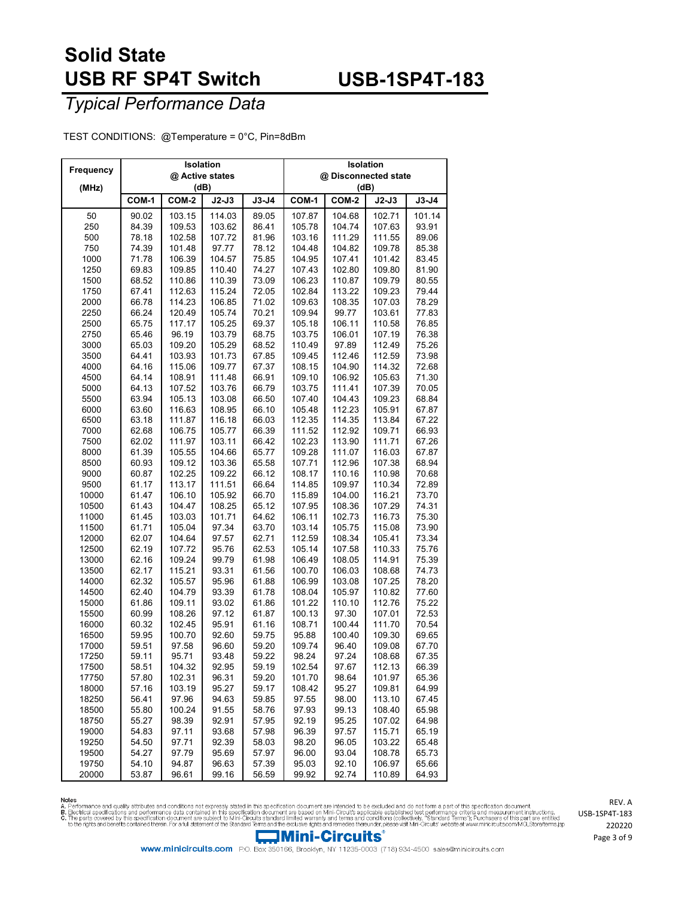## **USB-1SP4T-183**

### *Typical Performance Data*

TEST CONDITIONS: @Temperature = 0°C, Pin=8dBm

|              |                | Isolation        |         |         | Isolation            |        |         |         |  |  |
|--------------|----------------|------------------|---------|---------|----------------------|--------|---------|---------|--|--|
| Frequency    |                | @ Active states  |         |         | @ Disconnected state |        |         |         |  |  |
| (MHz)        |                | (dB)             |         |         | (dB)                 |        |         |         |  |  |
|              | COM-1          | COM-2            | $J2-J3$ | $J3-J4$ | COM-1                | COM-2  | $J2-J3$ | $J3-J4$ |  |  |
| 50           | 90.02          | 103.15           | 114.03  | 89.05   | 107.87               | 104.68 | 102.71  | 101.14  |  |  |
| 250          | 84.39          | 109.53           | 103.62  | 86.41   | 105.78               | 104.74 | 107.63  | 93.91   |  |  |
| 500          | 78.18          | 102.58           | 107.72  | 81.96   | 103.16               | 111.29 | 111.55  | 89.06   |  |  |
| 750          | 74.39          | 101.48           | 97.77   | 78.12   | 104.48               | 104.82 | 109.78  | 85.38   |  |  |
|              | 71.78          |                  | 104.57  | 75.85   |                      | 107.41 | 101.42  | 83.45   |  |  |
| 1000<br>1250 |                | 106.39<br>109.85 |         |         | 104.95<br>107.43     | 102.80 | 109.80  | 81.90   |  |  |
|              | 69.83<br>68.52 |                  | 110.40  | 74.27   |                      |        | 109.79  |         |  |  |
| 1500         |                | 110.86           | 110.39  | 73.09   | 106.23               | 110.87 |         | 80.55   |  |  |
| 1750         | 67.41          | 112.63           | 115.24  | 72.05   | 102.84               | 113.22 | 109.23  | 79.44   |  |  |
| 2000         | 66.78          | 114.23           | 106.85  | 71.02   | 109.63               | 108.35 | 107.03  | 78.29   |  |  |
| 2250         | 66.24          | 120.49           | 105.74  | 70.21   | 109.94               | 99.77  | 103.61  | 77.83   |  |  |
| 2500         | 65.75          | 117.17           | 105.25  | 69.37   | 105.18               | 106.11 | 110.58  | 76.85   |  |  |
| 2750         | 65.46          | 96.19            | 103.79  | 68.75   | 103.75               | 106.01 | 107.19  | 76.38   |  |  |
| 3000         | 65.03          | 109.20           | 105.29  | 68.52   | 110.49               | 97.89  | 112.49  | 75.26   |  |  |
| 3500         | 64.41          | 103.93           | 101.73  | 67.85   | 109.45               | 112.46 | 112.59  | 73.98   |  |  |
| 4000         | 64.16          | 115.06           | 109.77  | 67.37   | 108.15               | 104.90 | 114.32  | 72.68   |  |  |
| 4500         | 64.14          | 108.91           | 111.48  | 66.91   | 109.10               | 106.92 | 105.63  | 71.30   |  |  |
| 5000         | 64.13          | 107.52           | 103.76  | 66.79   | 103.75               | 111.41 | 107.39  | 70.05   |  |  |
| 5500         | 63.94          | 105.13           | 103.08  | 66.50   | 107.40               | 104.43 | 109.23  | 68.84   |  |  |
| 6000         | 63.60          | 116.63           | 108.95  | 66.10   | 105.48               | 112.23 | 105.91  | 67.87   |  |  |
| 6500         | 63.18          | 111.87           | 116.18  | 66.03   | 112.35               | 114.35 | 113.84  | 67.22   |  |  |
| 7000         | 62.68          | 106.75           | 105.77  | 66.39   | 111.52               | 112.92 | 109.71  | 66.93   |  |  |
| 7500         | 62.02          | 111.97           | 103.11  | 66.42   | 102.23               | 113.90 | 111.71  | 67.26   |  |  |
| 8000         | 61.39          | 105.55           | 104.66  | 65.77   | 109.28               | 111.07 | 116.03  | 67.87   |  |  |
| 8500         | 60.93          | 109.12           | 103.36  | 65.58   | 107.71               | 112.96 | 107.38  | 68.94   |  |  |
| 9000         | 60.87          | 102.25           | 109.22  | 66.12   | 108.17               | 110.16 | 110.98  | 70.68   |  |  |
| 9500         | 61.17          | 113.17           | 111.51  | 66.64   | 114.85               | 109.97 | 110.34  | 72.89   |  |  |
| 10000        | 61.47          | 106.10           | 105.92  | 66.70   | 115.89               | 104.00 | 116.21  | 73.70   |  |  |
| 10500        | 61.43          | 104.47           | 108.25  | 65.12   | 107.95               | 108.36 | 107.29  | 74.31   |  |  |
| 11000        | 61.45          | 103.03           | 101.71  | 64.62   | 106.11               | 102.73 | 116.73  | 75.30   |  |  |
| 11500        | 61.71          | 105.04           | 97.34   | 63.70   | 103.14               | 105.75 | 115.08  | 73.90   |  |  |
| 12000        | 62.07          | 104.64           | 97.57   | 62.71   | 112.59               | 108.34 | 105.41  | 73.34   |  |  |
| 12500        | 62.19          | 107.72           | 95.76   | 62.53   | 105.14               | 107.58 | 110.33  | 75.76   |  |  |
| 13000        | 62.16          | 109.24           | 99.79   | 61.98   | 106.49               | 108.05 | 114.91  | 75.39   |  |  |
| 13500        | 62.17          | 115.21           | 93.31   | 61.56   | 100.70               | 106.03 | 108.68  | 74.73   |  |  |
| 14000        | 62.32          | 105.57           | 95.96   | 61.88   | 106.99               | 103.08 | 107.25  | 78.20   |  |  |
| 14500        | 62.40          | 104.79           | 93.39   | 61.78   | 108.04               | 105.97 | 110.82  | 77.60   |  |  |
| 15000        | 61.86          | 109.11           | 93.02   | 61.86   | 101.22               | 110.10 | 112.76  | 75.22   |  |  |
| 15500        | 60.99          | 108.26           | 97.12   | 61.87   | 100.13               | 97.30  | 107.01  | 72.53   |  |  |
| 16000        | 60.32          | 102.45           | 95.91   | 61.16   | 108.71               | 100.44 | 111.70  | 70.54   |  |  |
| 16500        | 59.95          | 100.70           | 92.60   | 59.75   | 95.88                | 100.40 | 109.30  | 69.65   |  |  |
| 17000        | 59.51          | 97.58            | 96.60   | 59.20   | 109.74               | 96.40  | 109.08  | 67.70   |  |  |
| 17250        | 59.11          | 95.71            | 93.48   | 59.22   | 98.24                | 97.24  | 108.68  | 67.35   |  |  |
| 17500        | 58.51          | 104.32           | 92.95   | 59.19   | 102.54               | 97.67  | 112.13  | 66.39   |  |  |
| 17750        | 57.80          | 102.31           | 96.31   | 59.20   | 101.70               | 98.64  | 101.97  | 65.36   |  |  |
| 18000        | 57.16          | 103.19           | 95.27   | 59.17   | 108.42               | 95.27  | 109.81  | 64.99   |  |  |
| 18250        | 56.41          | 97.96            | 94.63   | 59.85   | 97.55                | 98.00  | 113.10  | 67.45   |  |  |
| 18500        | 55.80          | 100.24           | 91.55   | 58.76   | 97.93                | 99.13  | 108.40  | 65.98   |  |  |
| 18750        | 55.27          | 98.39            | 92.91   | 57.95   | 92.19                | 95.25  | 107.02  | 64.98   |  |  |
| 19000        | 54.83          | 97.11            | 93.68   | 57.98   | 96.39                | 97.57  | 115.71  | 65.19   |  |  |
| 19250        | 54.50          | 97.71            | 92.39   | 58.03   | 98.20                | 96.05  | 103.22  | 65.48   |  |  |
| 19500        | 54.27          | 97.79            | 95.69   | 57.97   | 96.00                | 93.04  | 108.78  | 65.73   |  |  |
| 19750        | 54.10          | 94.87            | 96.63   | 57.39   | 95.03                | 92.10  | 106.97  | 65.66   |  |  |
| 20000        | 53.87          | 96.61            | 99.16   | 56.59   | 99.92                | 92.74  | 110.89  | 64.93   |  |  |

Notes<br>A. Performance and quality attributes and conditions not expressly stated in this specification document are intended to be excluded and do not form a part of this specification document.<br>B. Beotrical specifications

Mini-Circuits

REV. A USB-1SP4T-183 Page 3 of 9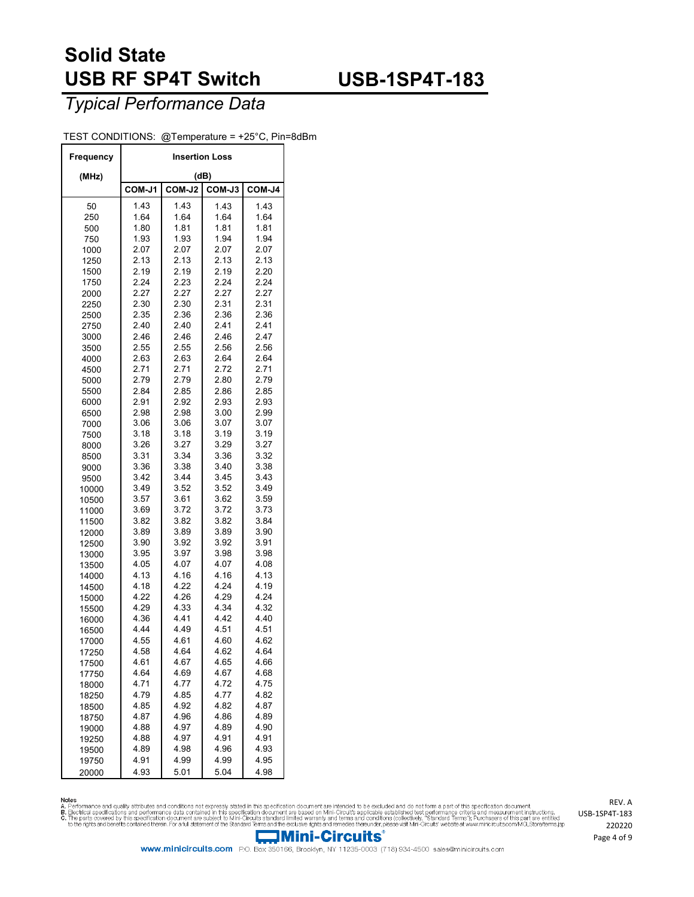## **USB-1SP4T-183**

*Typical Performance Data*

| TEST CONDITIONS: @Temperature = +25°C, Pin=8dBm |  |  |
|-------------------------------------------------|--|--|
|-------------------------------------------------|--|--|

| Frequency      | <b>Insertion Loss</b> |              |              |              |  |  |  |  |  |
|----------------|-----------------------|--------------|--------------|--------------|--|--|--|--|--|
| (MHz)          |                       |              | (dB)         |              |  |  |  |  |  |
|                | COM-J1                | COM-J2       | COM-J3       | COM-J4       |  |  |  |  |  |
| 50             | 1.43                  | 1.43         | 1.43         | 1.43         |  |  |  |  |  |
| 250            | 1.64                  | 1.64         | 1.64         | 1.64         |  |  |  |  |  |
| 500            | 1.80                  | 1.81         | 1.81         | 1.81         |  |  |  |  |  |
| 750            | 1.93                  | 1.93         | 1.94         | 1.94         |  |  |  |  |  |
| 1000           | 2.07                  | 2.07         | 2.07         | 2.07         |  |  |  |  |  |
| 1250           | 2.13                  | 2.13         | 2.13         | 2.13         |  |  |  |  |  |
| 1500           | 2.19                  | 2.19         | 2.19         | 2.20         |  |  |  |  |  |
| 1750           | 2.24                  | 2.23         | 2.24         | 2.24         |  |  |  |  |  |
| 2000<br>2250   | 2.27<br>2.30          | 2.27<br>2.30 | 2.27<br>2.31 | 2.27<br>2.31 |  |  |  |  |  |
|                | 2.35                  | 2.36         | 2.36         | 2.36         |  |  |  |  |  |
| 2500<br>2750   | 2.40                  | 2.40         | 2.41         | 2.41         |  |  |  |  |  |
| 3000           | 2.46                  | 2.46         | 2.46         | 2.47         |  |  |  |  |  |
| 3500           | 2.55                  | 2.55         | 2.56         | 2.56         |  |  |  |  |  |
| 4000           | 2.63                  | 2.63         | 2.64         | 2.64         |  |  |  |  |  |
| 4500           | 2.71                  | 2.71         | 2.72         | 2.71         |  |  |  |  |  |
| 5000           | 2.79                  | 2.79         | 2.80         | 2.79         |  |  |  |  |  |
| 5500           | 2.84                  | 2.85         | 2.86         | 2.85         |  |  |  |  |  |
| 6000           | 2.91                  | 2.92         | 2.93         | 2.93         |  |  |  |  |  |
| 6500           | 2.98                  | 2.98         | 3.00         | 2.99         |  |  |  |  |  |
| 7000           | 3.06                  | 3.06         | 3.07         | 3.07         |  |  |  |  |  |
| 7500           | 3.18                  | 3.18         | 3.19         | 3.19         |  |  |  |  |  |
| 8000           | 3.26                  | 3.27         | 3.29         | 3.27         |  |  |  |  |  |
| 8500           | 3.31                  | 3.34         | 3.36         | 3.32         |  |  |  |  |  |
| 9000           | 3.36                  | 3.38         | 3.40         | 3.38         |  |  |  |  |  |
| 9500           | 3.42                  | 3.44         | 3.45         | 3.43         |  |  |  |  |  |
| 10000          | 3.49<br>3.57          | 3.52<br>3.61 | 3.52<br>3.62 | 3.49<br>3.59 |  |  |  |  |  |
| 10500          | 3.69                  | 3.72         | 3.72         | 3.73         |  |  |  |  |  |
| 11000<br>11500 | 3.82                  | 3.82         | 3.82         | 3.84         |  |  |  |  |  |
| 12000          | 3.89                  | 3.89         | 3.89         | 3.90         |  |  |  |  |  |
| 12500          | 3.90                  | 3.92         | 3.92         | 3.91         |  |  |  |  |  |
| 13000          | 3.95                  | 3.97         | 3.98         | 3.98         |  |  |  |  |  |
| 13500          | 4.05                  | 4.07         | 4.07         | 4.08         |  |  |  |  |  |
| 14000          | 4.13                  | 4.16         | 4.16         | 4.13         |  |  |  |  |  |
| 14500          | 4.18                  | 4.22         | 4.24         | 4.19         |  |  |  |  |  |
| 15000          | 4.22                  | 4.26         | 4.29         | 4.24         |  |  |  |  |  |
| 15500          | 4.29                  | 4.33         | 4.34         | 4.32         |  |  |  |  |  |
| 16000          | 4.36                  | 4.41         | 4.42         | 4.40         |  |  |  |  |  |
| 16500          | 4.44                  | 4.49         | 4.51         | 4.51         |  |  |  |  |  |
| 17000          | 4.55                  | 4.61         | 4.60         | 4.62         |  |  |  |  |  |
| 17250          | 4.58                  | 4.64         | 4.62         | 4.64         |  |  |  |  |  |
| 17500          | 4.61                  | 4.67         | 4.65         | 4.66         |  |  |  |  |  |
| 17750          | 4.64                  | 4.69<br>4.77 | 4.67<br>4.72 | 4.68<br>4.75 |  |  |  |  |  |
| 18000          | 4.71<br>4.79          | 4.85         | 4.77         | 4.82         |  |  |  |  |  |
| 18250<br>18500 | 4.85                  | 4.92         | 4.82         | 4.87         |  |  |  |  |  |
| 18750          | 4.87                  | 4.96         | 4.86         | 4.89         |  |  |  |  |  |
| 19000          | 4.88                  | 4.97         | 4.89         | 4.90         |  |  |  |  |  |
| 19250          | 4.88                  | 4.97         | 4.91         | 4.91         |  |  |  |  |  |
| 19500          | 4.89                  | 4.98         | 4.96         | 4.93         |  |  |  |  |  |
| 19750          | 4.91                  | 4.99         | 4.99         | 4.95         |  |  |  |  |  |
| 20000          | 4.93                  | 5.01         | 5.04         | 4.98         |  |  |  |  |  |

Notes<br>A. Performance and quality attributes and conditions not expressly stated in this specification document are intended to be excluded and do not form a part of this specification document.<br>B. Beotrical specifications

REV. A USB-1SP4T-183 Page 4 of 9



www.minicircuits.com P.O. Box 350166, Brooklyn, NY 11235-0003 (718) 934-4500 sales@minicircuits.com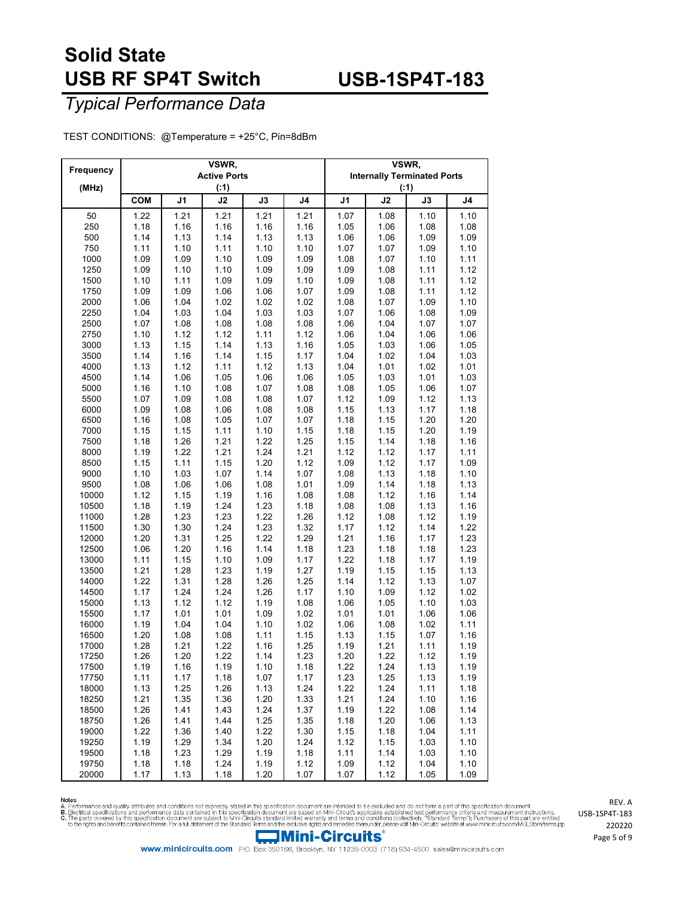## **USB-1SP4T-183**

### *Typical Performance Data*

TEST CONDITIONS: @Temperature = +25°C, Pin=8dBm

| Frequency<br>(MHz) |            |      | VSWR,<br><b>Active Ports</b><br>( : 1) |      |      | VSWR, | <b>Internally Terminated Ports</b><br>( : 1) |      |                |
|--------------------|------------|------|----------------------------------------|------|------|-------|----------------------------------------------|------|----------------|
|                    | <b>COM</b> | J1   | J2                                     | J3   | J4   | J1    | J2                                           | J3   | J <sub>4</sub> |
| 50                 | 1.22       | 1.21 | 1.21                                   | 1.21 | 1.21 | 1.07  | 1.08                                         | 1.10 | 1.10           |
| 250                | 1.18       | 1.16 | 1.16                                   | 1.16 | 1.16 | 1.05  | 1.06                                         | 1.08 | 1.08           |
| 500                | 1.14       | 1.13 | 1.14                                   | 1.13 | 1.13 | 1.06  | 1.06                                         | 1.09 | 1.09           |
| 750                | 1.11       | 1.10 | 1.11                                   | 1.10 | 1.10 | 1.07  | 1.07                                         | 1.09 | 1.10           |
| 1000               | 1.09       | 1.09 | 1.10                                   | 1.09 | 1.09 | 1.08  | 1.07                                         | 1.10 | 1.11           |
| 1250               | 1.09       | 1.10 | 1.10                                   | 1.09 | 1.09 | 1.09  | 1.08                                         | 1.11 | 1.12           |
| 1500               | 1.10       | 1.11 | 1.09                                   | 1.09 | 1.10 | 1.09  | 1.08                                         | 1.11 | 1.12           |
| 1750               | 1.09       | 1.09 | 1.06                                   | 1.06 | 1.07 | 1.09  | 1.08                                         | 1.11 | 1.12           |
| 2000               | 1.06       | 1.04 | 1.02                                   | 1.02 | 1.02 | 1.08  | 1.07                                         | 1.09 | 1.10           |
| 2250               | 1.04       | 1.03 | 1.04                                   | 1.03 | 1.03 | 1.07  | 1.06                                         | 1.08 | 1.09           |
| 2500               | 1.07       | 1.08 | 1.08                                   | 1.08 | 1.08 | 1.06  | 1.04                                         | 1.07 | 1.07           |
| 2750               | 1.10       | 1.12 | 1.12                                   | 1.11 | 1.12 | 1.06  | 1.04                                         | 1.06 | 1.06           |
| 3000               | 1.13       | 1.15 | 1.14                                   | 1.13 | 1.16 | 1.05  | 1.03                                         | 1.06 | 1.05           |
| 3500               | 1.14       | 1.16 | 1.14                                   | 1.15 | 1.17 | 1.04  | 1.02                                         | 1.04 | 1.03           |
| 4000               | 1.13       | 1.12 | 1.11                                   | 1.12 | 1.13 | 1.04  | 1.01                                         | 1.02 | 1.01           |
| 4500               | 1.14       | 1.06 | 1.05                                   | 1.06 | 1.06 | 1.05  | 1.03                                         | 1.01 | 1.03           |
| 5000               | 1.16       | 1.10 | 1.08                                   | 1.07 | 1.08 | 1.08  | 1.05                                         | 1.06 | 1.07           |
| 5500               | 1.07       | 1.09 | 1.08                                   | 1.08 | 1.07 | 1.12  | 1.09                                         | 1.12 | 1.13           |
| 6000               | 1.09       | 1.08 | 1.06                                   | 1.08 | 1.08 | 1.15  | 1.13                                         | 1.17 | 1.18           |
| 6500               | 1.16       | 1.08 | 1.05                                   | 1.07 | 1.07 | 1.18  | 1.15                                         | 1.20 | 1.20           |
| 7000               | 1.15       | 1.15 | 1.11                                   | 1.10 | 1.15 | 1.18  | 1.15                                         | 1.20 | 1.19           |
| 7500               | 1.18       | 1.26 | 1.21                                   | 1.22 | 1.25 | 1.15  | 1.14                                         | 1.18 | 1.16           |
| 8000               | 1.19       | 1.22 | 1.21                                   | 1.24 | 1.21 | 1.12  | 1.12                                         | 1.17 | 1.11           |
| 8500               | 1.15       | 1.11 | 1.15                                   | 1.20 | 1.12 | 1.09  | 1.12                                         | 1.17 | 1.09           |
| 9000               | 1.10       | 1.03 | 1.07                                   | 1.14 | 1.07 | 1.08  | 1.13                                         | 1.18 | 1.10           |
| 9500               | 1.08       | 1.06 | 1.06                                   | 1.08 | 1.01 | 1.09  | 1.14                                         | 1.18 | 1.13           |
| 10000              | 1.12       | 1.15 | 1.19                                   | 1.16 | 1.08 | 1.08  | 1.12                                         | 1.16 | 1.14           |
| 10500              | 1.18       | 1.19 | 1.24                                   | 1.23 | 1.18 | 1.08  | 1.08                                         | 1.13 | 1.16           |
| 11000              | 1.28       | 1.23 | 1.23                                   | 1.22 | 1.26 | 1.12  | 1.08                                         | 1.12 | 1.19           |
| 11500              | 1.30       | 1.30 | 1.24                                   | 1.23 | 1.32 | 1.17  | 1.12                                         | 1.14 | 1.22           |
| 12000              | 1.20       | 1.31 | 1.25                                   | 1.22 | 1.29 | 1.21  | 1.16                                         | 1.17 | 1.23           |
| 12500              | 1.06       | 1.20 | 1.16                                   | 1.14 | 1.18 | 1.23  | 1.18                                         | 1.18 | 1.23           |
| 13000              | 1.11       | 1.15 | 1.10                                   | 1.09 | 1.17 | 1.22  | 1.18                                         | 1.17 | 1.19           |
| 13500              | 1.21       | 1.28 | 1.23                                   | 1.19 | 1.27 | 1.19  | 1.15                                         | 1.15 | 1.13           |
| 14000              | 1.22       | 1.31 | 1.28                                   | 1.26 | 1.25 | 1.14  | 1.12                                         | 1.13 | 1.07           |
| 14500              | 1.17       | 1.24 | 1.24                                   | 1.26 | 1.17 | 1.10  | 1.09                                         | 1.12 | 1.02           |
| 15000              | 1.13       | 1.12 | 1.12                                   | 1.19 | 1.08 | 1.06  | 1.05                                         | 1.10 | 1.03           |
| 15500              | 1.17       | 1.01 | 1.01                                   | 1.09 | 1.02 | 1.01  | 1.01                                         | 1.06 | 1.06           |
| 16000              | 1.19       | 1.04 | 1.04                                   | 1.10 | 1.02 | 1.06  | 1.08                                         | 1.02 | 1.11           |
| 16500              | 1.20       | 1.08 | 1.08                                   | 1.11 | 1.15 | 1.13  | 1.15                                         | 1.07 | 1.16           |
| 17000              | 1.28       | 1.21 | 1.22                                   | 1.16 | 1.25 | 1.19  | 1.21                                         | 1.11 | 1.19           |
| 17250              | 1.26       | 1.20 | 1.22                                   | 1.14 | 1.23 | 1.20  | 1.22                                         | 1.12 | 1.19           |
| 17500              | 1.19       | 1.16 | 1.19                                   | 1.10 | 1.18 | 1.22  | 1.24                                         | 1.13 | 1.19           |
| 17750              | 1.11       | 1.17 | 1.18                                   | 1.07 | 1.17 | 1.23  | 1.25                                         | 1.13 | 1.19           |
| 18000              | 1.13       | 1.25 | 1.26                                   | 1.13 | 1.24 | 1.22  | 1.24                                         | 1.11 | 1.18           |
| 18250              | 1.21       | 1.35 | 1.36                                   | 1.20 | 1.33 | 1.21  | 1.24                                         | 1.10 | 1.16           |
| 18500              | 1.26       | 1.41 | 1.43                                   | 1.24 | 1.37 | 1.19  | 1.22                                         | 1.08 | 1.14           |
| 18750              | 1.26       | 1.41 | 1.44                                   | 1.25 | 1.35 | 1.18  | 1.20                                         | 1.06 | 1.13           |
| 19000              | 1.22       | 1.36 | 1.40                                   | 1.22 | 1.30 | 1.15  | 1.18                                         | 1.04 | 1.11           |
| 19250              | 1.19       | 1.29 | 1.34                                   | 1.20 | 1.24 | 1.12  | 1.15                                         | 1.03 | 1.10           |
| 19500              | 1.18       | 1.23 | 1.29                                   | 1.19 | 1.18 | 1.11  | 1.14                                         | 1.03 | 1.10           |
| 19750              | 1.18       | 1.18 | 1.24                                   | 1.19 | 1.12 | 1.09  | 1.12                                         | 1.04 | 1.10           |
| 20000              | 1.17       | 1.13 | 1.18                                   | 1.20 | 1.07 | 1.07  | 1.12                                         | 1.05 | 1.09           |

Notes<br>A. Performance and quality attributes and conditions not expressly stated in this specification document are intended to be excluded and do not form a part of this specification document.<br>B. Beotrical specifications



www.minicircuits.com P.O. Box 350166, Brooklyn, NY 11235-0003 (718) 934-4500 sales@minicircuits.com

REV. A USB-1SP4T-183 Page 5 of 9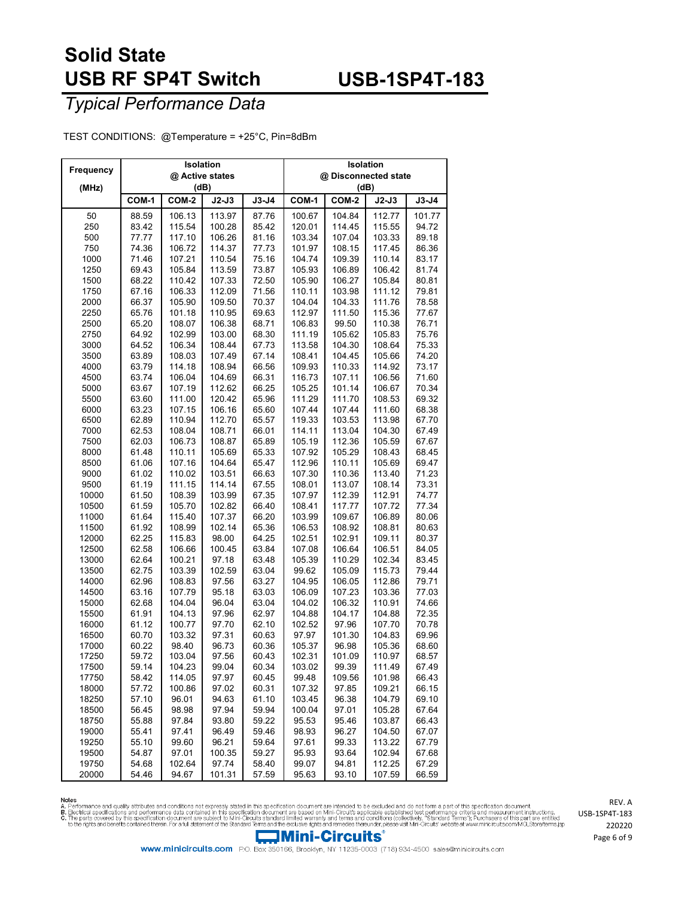## **USB-1SP4T-183**

### *Typical Performance Data*

TEST CONDITIONS: @Temperature = +25°C, Pin=8dBm

| Frequency      |                | Isolation        |                 |                | Isolation            |                  |                  |                |  |
|----------------|----------------|------------------|-----------------|----------------|----------------------|------------------|------------------|----------------|--|
|                |                | @ Active states  |                 |                | @ Disconnected state |                  |                  |                |  |
| (MHz)          |                | (dB)             |                 |                | (dB)                 |                  |                  |                |  |
|                | COM-1          | COM-2            | $J2-J3$         | $J3-J4$        | COM-1                | COM-2            | $J2-J3$          | $J3-J4$        |  |
| 50             | 88.59          | 106.13           | 113.97          | 87.76          | 100.67               | 104.84           | 112.77           | 101.77         |  |
| 250            | 83.42          | 115.54           | 100.28          | 85.42          | 120.01               | 114.45           | 115.55           | 94.72          |  |
| 500            | 77.77          | 117.10           | 106.26          | 81.16          | 103.34               | 107.04           | 103.33           | 89.18          |  |
| 750            | 74.36          | 106.72           | 114.37          | 77.73          | 101.97               | 108.15           | 117.45           | 86.36          |  |
| 1000           | 71.46          | 107.21           | 110.54          | 75.16          | 104.74               | 109.39           | 110.14           | 83.17          |  |
| 1250           | 69.43          | 105.84           | 113.59          | 73.87          | 105.93               | 106.89           | 106.42           | 81.74          |  |
| 1500           | 68.22          | 110.42           | 107.33          | 72.50          | 105.90               | 106.27           | 105.84           | 80.81          |  |
| 1750           | 67.16          | 106.33           | 112.09          | 71.56          | 110.11               | 103.98           | 111.12           | 79.81          |  |
| 2000           | 66.37          | 105.90           | 109.50          | 70.37          | 104.04               | 104.33           | 111.76           | 78.58          |  |
| 2250           | 65.76          | 101.18           | 110.95          | 69.63          | 112.97               | 111.50           | 115.36           | 77.67          |  |
| 2500           | 65.20          | 108.07           | 106.38          | 68.71          | 106.83               | 99.50            | 110.38           | 76.71          |  |
| 2750           | 64.92          | 102.99           | 103.00          | 68.30          | 111.19               | 105.62           | 105.83           | 75.76          |  |
| 3000           | 64.52          | 106.34           | 108.44          | 67.73          | 113.58               | 104.30           | 108.64           | 75.33          |  |
| 3500           | 63.89          | 108.03           | 107.49          | 67.14          | 108.41               | 104.45           | 105.66           | 74.20          |  |
| 4000           | 63.79          | 114.18           | 108.94          | 66.56          | 109.93               | 110.33           | 114.92           | 73.17          |  |
| 4500           | 63.74          | 106.04           | 104.69          | 66.31          | 116.73               | 107.11           | 106.56           | 71.60          |  |
| 5000           | 63.67          | 107.19           | 112.62          | 66.25          | 105.25               | 101.14           | 106.67           | 70.34          |  |
| 5500           | 63.60          | 111.00           | 120.42          | 65.96          | 111.29               | 111.70           | 108.53           | 69.32          |  |
| 6000           | 63.23          | 107.15           | 106.16          | 65.60          | 107.44               | 107.44           | 111.60           | 68.38          |  |
| 6500           | 62.89          | 110.94           | 112.70          | 65.57          | 119.33               | 103.53           | 113.98           | 67.70          |  |
| 7000           | 62.53          | 108.04           | 108.71          | 66.01          | 114.11               | 113.04           | 104.30           | 67.49          |  |
| 7500           | 62.03          | 106.73           | 108.87          | 65.89          | 105.19               | 112.36           | 105.59           | 67.67          |  |
| 8000           | 61.48          | 110.11           | 105.69          | 65.33          | 107.92               | 105.29           | 108.43           | 68.45          |  |
| 8500           | 61.06          | 107.16           | 104.64          | 65.47          | 112.96               | 110.11           | 105.69           | 69.47          |  |
| 9000           | 61.02          | 110.02           | 103.51          | 66.63          | 107.30               | 110.36           | 113.40           | 71.23          |  |
| 9500           | 61.19          | 111.15           | 114.14          | 67.55          | 108.01               | 113.07           | 108.14           | 73.31          |  |
| 10000          | 61.50          | 108.39           | 103.99          | 67.35          | 107.97               | 112.39           | 112.91           | 74.77          |  |
| 10500          | 61.59          | 105.70           | 102.82          | 66.40          | 108.41               | 117.77           | 107.72           | 77.34          |  |
| 11000          | 61.64          | 115.40           | 107.37          | 66.20          | 103.99               | 109.67           | 106.89           | 80.06          |  |
| 11500          | 61.92          | 108.99           | 102.14          | 65.36          | 106.53               | 108.92           | 108.81           | 80.63          |  |
| 12000          | 62.25<br>62.58 | 115.83           | 98.00           | 64.25          | 102.51<br>107.08     | 102.91<br>106.64 | 109.11<br>106.51 | 80.37          |  |
| 12500          |                | 106.66           | 100.45          | 63.84          |                      |                  |                  | 84.05          |  |
| 13000          | 62.64          | 100.21           | 97.18           | 63.48          | 105.39               | 110.29           | 102.34           | 83.45<br>79.44 |  |
| 13500<br>14000 | 62.75<br>62.96 | 103.39<br>108.83 | 102.59<br>97.56 | 63.04<br>63.27 | 99.62<br>104.95      | 105.09<br>106.05 | 115.73<br>112.86 | 79.71          |  |
| 14500          | 63.16          | 107.79           | 95.18           | 63.03          | 106.09               | 107.23           | 103.36           | 77.03          |  |
| 15000          | 62.68          | 104.04           | 96.04           | 63.04          | 104.02               | 106.32           | 110.91           | 74.66          |  |
| 15500          | 61.91          | 104.13           | 97.96           | 62.97          | 104.88               | 104.17           | 104.88           | 72.35          |  |
| 16000          | 61.12          | 100.77           | 97.70           | 62.10          | 102.52               | 97.96            | 107.70           | 70.78          |  |
| 16500          | 60.70          | 103.32           | 97.31           | 60.63          | 97.97                | 101.30           | 104.83           | 69.96          |  |
| 17000          | 60.22          | 98.40            | 96.73           | 60.36          | 105.37               | 96.98            | 105.36           | 68.60          |  |
| 17250          | 59.72          | 103.04           | 97.56           | 60.43          | 102.31               | 101.09           | 110.97           | 68.57          |  |
| 17500          | 59.14          | 104.23           | 99.04           | 60.34          | 103.02               | 99.39            | 111.49           | 67.49          |  |
| 17750          | 58.42          | 114.05           | 97.97           | 60.45          | 99.48                | 109.56           | 101.98           | 66.43          |  |
| 18000          | 57.72          | 100.86           | 97.02           | 60.31          | 107.32               | 97.85            | 109.21           | 66.15          |  |
| 18250          | 57.10          | 96.01            | 94.63           | 61.10          | 103.45               | 96.38            | 104.79           | 69.10          |  |
| 18500          | 56.45          | 98.98            | 97.94           | 59.94          | 100.04               | 97.01            | 105.28           | 67.64          |  |
| 18750          | 55.88          | 97.84            | 93.80           | 59.22          | 95.53                | 95.46            | 103.87           | 66.43          |  |
| 19000          | 55.41          | 97.41            | 96.49           | 59.46          | 98.93                | 96.27            | 104.50           | 67.07          |  |
| 19250          | 55.10          | 99.60            | 96.21           | 59.64          | 97.61                | 99.33            | 113.22           | 67.79          |  |
| 19500          | 54.87          | 97.01            | 100.35          | 59.27          | 95.93                | 93.64            | 102.94           | 67.68          |  |
| 19750          | 54.68          | 102.64           | 97.74           | 58.40          | 99.07                | 94.81            | 112.25           | 67.29          |  |
| 20000          | 54.46          | 94.67            | 101.31          | 57.59          | 95.63                | 93.10            | 107.59           | 66.59          |  |

Notes<br>A. Performance and quality attributes and conditions not expressly stated in this specification document are intended to be excluded and do not form a part of this specification document.<br>B. Beotrical specifications



REV. A USB-1SP4T-183 Page 6 of 9

www.minicircuits.com P.O. Box 350166, Brooklyn, NY 11235-0003 (718) 934-4500 sales@minicircuits.com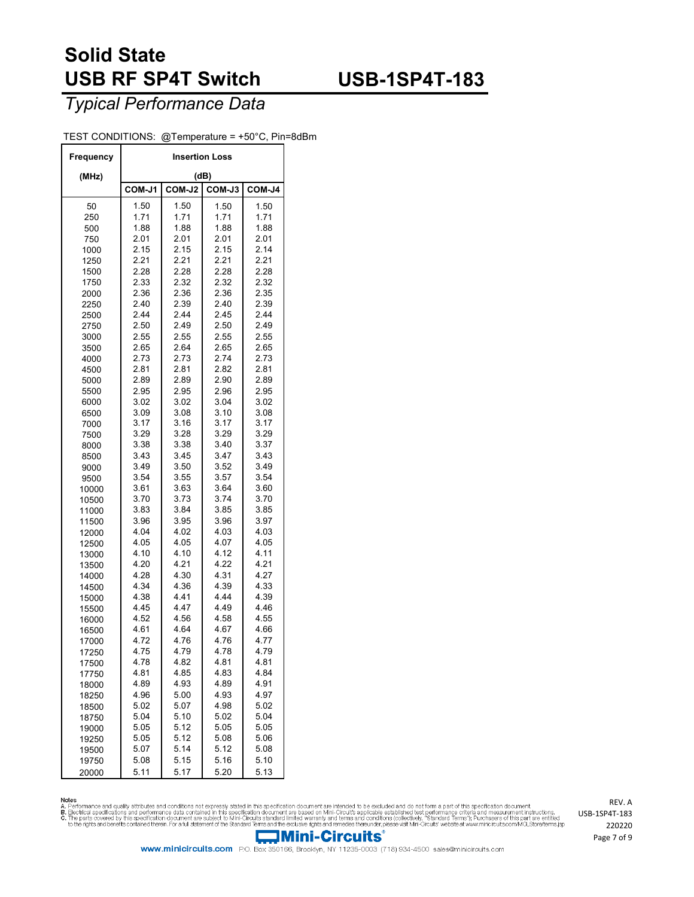## **USB-1SP4T-183**

#### *Typical Performance Data*

#### TEST CONDITIONS: @Temperature = +50°C, Pin=8dBm

| Frequency      | <b>Insertion Loss</b> |              |              |              |  |  |  |  |
|----------------|-----------------------|--------------|--------------|--------------|--|--|--|--|
| (MHz)          |                       |              | (dB)         |              |  |  |  |  |
|                | COM-J1                | COM-J2       | COM-J3       | COM-J4       |  |  |  |  |
| 50             | 1.50                  | 1.50         | 1.50         | 1.50         |  |  |  |  |
| 250            | 1.71                  | 1.71         | 1.71         | 1.71         |  |  |  |  |
| 500            | 1.88                  | 1.88         | 1.88         | 1.88         |  |  |  |  |
| 750            | 2.01                  | 2.01         | 2.01         | 2.01         |  |  |  |  |
| 1000           | 2.15                  | 2.15         | 2.15         | 2.14         |  |  |  |  |
| 1250           | 2.21                  | 2.21         | 2.21         | 2.21         |  |  |  |  |
| 1500<br>1750   | 2.28<br>2.33          | 2.28<br>2.32 | 2.28<br>2.32 | 2.28<br>2.32 |  |  |  |  |
| 2000           | 2.36                  | 2.36         | 2.36         | 2.35         |  |  |  |  |
| 2250           | 2.40                  | 2.39         | 2.40         | 2.39         |  |  |  |  |
| 2500           | 2.44                  | 2.44         | 2.45         | 2.44         |  |  |  |  |
| 2750           | 2.50                  | 2.49         | 2.50         | 2.49         |  |  |  |  |
| 3000           | 2.55                  | 2.55         | 2.55         | 2.55         |  |  |  |  |
| 3500           | 2.65                  | 2.64         | 2.65         | 2.65         |  |  |  |  |
| 4000           | 2.73                  | 2.73         | 2.74         | 2.73         |  |  |  |  |
| 4500           | 2.81                  | 2.81         | 2.82         | 2.81         |  |  |  |  |
| 5000           | 2.89                  | 2.89         | 2.90         | 2.89         |  |  |  |  |
| 5500           | 2.95                  | 2.95         | 2.96         | 2.95         |  |  |  |  |
| 6000           | 3.02                  | 3.02         | 3.04         | 3.02         |  |  |  |  |
| 6500           | 3.09                  | 3.08         | 3.10         | 3.08         |  |  |  |  |
| 7000           | 3.17                  | 3.16         | 3.17         | 3.17         |  |  |  |  |
| 7500           | 3.29                  | 3.28         | 3.29         | 3.29         |  |  |  |  |
| 8000           | 3.38                  | 3.38         | 3.40         | 3.37         |  |  |  |  |
| 8500           | 3.43                  | 3.45         | 3.47         | 3.43         |  |  |  |  |
| 9000           | 3.49                  | 3.50         | 3.52         | 3.49         |  |  |  |  |
| 9500           | 3.54                  | 3.55         | 3.57         | 3.54         |  |  |  |  |
| 10000          | 3.61<br>3.70          | 3.63<br>3.73 | 3.64<br>3.74 | 3.60<br>3.70 |  |  |  |  |
| 10500          | 3.83                  | 3.84         | 3.85         | 3.85         |  |  |  |  |
| 11000<br>11500 | 3.96                  | 3.95         | 3.96         | 3.97         |  |  |  |  |
| 12000          | 4.04                  | 4.02         | 4.03         | 4.03         |  |  |  |  |
| 12500          | 4.05                  | 4.05         | 4.07         | 4.05         |  |  |  |  |
| 13000          | 4.10                  | 4.10         | 4.12         | 4.11         |  |  |  |  |
| 13500          | 4.20                  | 4.21         | 4.22         | 4.21         |  |  |  |  |
| 14000          | 4.28                  | 4.30         | 4.31         | 4.27         |  |  |  |  |
| 14500          | 4.34                  | 4.36         | 4.39         | 4.33         |  |  |  |  |
| 15000          | 4.38                  | 4.41         | 4.44         | 4.39         |  |  |  |  |
| 15500          | 4.45                  | 4.47         | 4.49         | 4.46         |  |  |  |  |
| 16000          | 4.52                  | 4.56         | 4.58         | 4.55         |  |  |  |  |
| 16500          | 4.61                  | 4.64         | 4.67         | 4.66         |  |  |  |  |
| 17000          | 4.72                  | 4.76         | 4.76         | 4.77         |  |  |  |  |
| 17250          | 4.75                  | 4.79         | 4.78         | 4.79         |  |  |  |  |
| 17500          | 4.78<br>4.81          | 4.82         | 4.81         | 4.81         |  |  |  |  |
| 17750          | 4.89                  | 4.85<br>4.93 | 4.83<br>4.89 | 4.84<br>4.91 |  |  |  |  |
| 18000          | 4.96                  | 5.00         | 4.93         | 4.97         |  |  |  |  |
| 18250<br>18500 | 5.02                  | 5.07         | 4.98         | 5.02         |  |  |  |  |
| 18750          | 5.04                  | 5.10         | 5.02         | 5.04         |  |  |  |  |
| 19000          | 5.05                  | 5.12         | 5.05         | 5.05         |  |  |  |  |
| 19250          | 5.05                  | 5.12         | 5.08         | 5.06         |  |  |  |  |
| 19500          | 5.07                  | 5.14         | 5.12         | 5.08         |  |  |  |  |
| 19750          | 5.08                  | 5.15         | 5.16         | 5.10         |  |  |  |  |
| 20000          | 5.11                  | 5.17         | 5.20         | 5.13         |  |  |  |  |

Notes<br>A. Performance and quality attributes and conditions not expressly stated in this specification document are intended to be excluded and do not form a part of this specification document.<br>B. Beotrical specifications

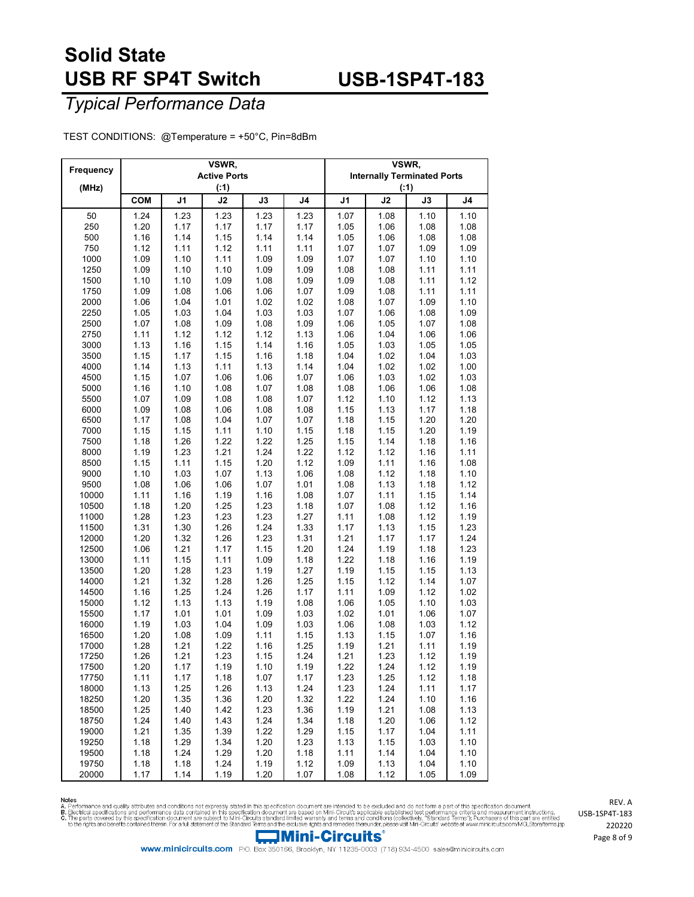## **USB-1SP4T-183**

*Typical Performance Data*

TEST CONDITIONS: @Temperature = +50°C, Pin=8dBm

| Frequency      |              |              | VSWR,               |               | VSWR,          |                                              |              |                |              |  |
|----------------|--------------|--------------|---------------------|---------------|----------------|----------------------------------------------|--------------|----------------|--------------|--|
|                |              |              | <b>Active Ports</b> |               |                | <b>Internally Terminated Ports</b><br>( : 1) |              |                |              |  |
| (MHz)          |              |              | ( : 1)<br>J2        |               |                | J2                                           | J3           | J <sub>4</sub> |              |  |
|                | <b>COM</b>   | J1           |                     | $\mathsf{J3}$ | J <sub>4</sub> | J1                                           |              |                |              |  |
| 50<br>250      | 1.24<br>1.20 | 1.23<br>1.17 | 1.23<br>1.17        | 1.23<br>1.17  | 1.23<br>1.17   | 1.07<br>1.05                                 | 1.08<br>1.06 | 1.10<br>1.08   | 1.10<br>1.08 |  |
| 500            | 1.16         | 1.14         | 1.15                | 1.14          | 1.14           | 1.05                                         | 1.06         | 1.08           | 1.08         |  |
| 750            | 1.12         | 1.11         | 1.12                | 1.11          | 1.11           | 1.07                                         | 1.07         | 1.09           | 1.09         |  |
| 1000           | 1.09         | 1.10         | 1.11                | 1.09          | 1.09           | 1.07                                         | 1.07         | 1.10           | 1.10         |  |
| 1250           | 1.09         | 1.10         | 1.10                | 1.09          | 1.09           | 1.08                                         | 1.08         | 1.11           | 1.11         |  |
| 1500           | 1.10         | 1.10         | 1.09                | 1.08          | 1.09           | 1.09                                         | 1.08         | 1.11           | 1.12         |  |
| 1750           | 1.09         | 1.08         | 1.06                | 1.06          | 1.07           | 1.09                                         | 1.08         | 1.11           | 1.11         |  |
| 2000           | 1.06         | 1.04         | 1.01                | 1.02          | 1.02           | 1.08                                         | 1.07         | 1.09           | 1.10         |  |
| 2250           | 1.05         | 1.03         | 1.04                | 1.03          | 1.03           | 1.07                                         | 1.06         | 1.08           | 1.09         |  |
| 2500           | 1.07         | 1.08         | 1.09                | 1.08          | 1.09           | 1.06                                         | 1.05         | 1.07           | 1.08         |  |
| 2750           | 1.11         | 1.12         | 1.12                | 1.12          | 1.13           | 1.06                                         | 1.04         | 1.06           | 1.06         |  |
| 3000           | 1.13         | 1.16         | 1.15                | 1.14          | 1.16           | 1.05                                         | 1.03         | 1.05           | 1.05         |  |
| 3500<br>4000   | 1.15<br>1.14 | 1.17<br>1.13 | 1.15<br>1.11        | 1.16<br>1.13  | 1.18<br>1.14   | 1.04<br>1.04                                 | 1.02<br>1.02 | 1.04<br>1.02   | 1.03<br>1.00 |  |
| 4500           | 1.15         | 1.07         | 1.06                | 1.06          | 1.07           | 1.06                                         | 1.03         | 1.02           | 1.03         |  |
| 5000           | 1.16         | 1.10         | 1.08                | 1.07          | 1.08           | 1.08                                         | 1.06         | 1.06           | 1.08         |  |
| 5500           | 1.07         | 1.09         | 1.08                | 1.08          | 1.07           | 1.12                                         | 1.10         | 1.12           | 1.13         |  |
| 6000           | 1.09         | 1.08         | 1.06                | 1.08          | 1.08           | 1.15                                         | 1.13         | 1.17           | 1.18         |  |
| 6500           | 1.17         | 1.08         | 1.04                | 1.07          | 1.07           | 1.18                                         | 1.15         | 1.20           | 1.20         |  |
| 7000           | 1.15         | 1.15         | 1.11                | 1.10          | 1.15           | 1.18                                         | 1.15         | 1.20           | 1.19         |  |
| 7500           | 1.18         | 1.26         | 1.22                | 1.22          | 1.25           | 1.15                                         | 1.14         | 1.18           | 1.16         |  |
| 8000           | 1.19         | 1.23         | 1.21                | 1.24          | 1.22           | 1.12                                         | 1.12         | 1.16           | 1.11         |  |
| 8500           | 1.15         | 1.11         | 1.15                | 1.20          | 1.12           | 1.09                                         | 1.11         | 1.16           | 1.08         |  |
| 9000           | 1.10         | 1.03         | 1.07                | 1.13          | 1.06           | 1.08                                         | 1.12         | 1.18           | 1.10         |  |
| 9500           | 1.08         | 1.06         | 1.06                | 1.07          | 1.01           | 1.08                                         | 1.13         | 1.18           | 1.12         |  |
| 10000<br>10500 | 1.11<br>1.18 | 1.16<br>1.20 | 1.19<br>1.25        | 1.16<br>1.23  | 1.08<br>1.18   | 1.07<br>1.07                                 | 1.11<br>1.08 | 1.15<br>1.12   | 1.14<br>1.16 |  |
| 11000          | 1.28         | 1.23         | 1.23                | 1.23          | 1.27           | 1.11                                         | 1.08         | 1.12           | 1.19         |  |
| 11500          | 1.31         | 1.30         | 1.26                | 1.24          | 1.33           | 1.17                                         | 1.13         | 1.15           | 1.23         |  |
| 12000          | 1.20         | 1.32         | 1.26                | 1.23          | 1.31           | 1.21                                         | 1.17         | 1.17           | 1.24         |  |
| 12500          | 1.06         | 1.21         | 1.17                | 1.15          | 1.20           | 1.24                                         | 1.19         | 1.18           | 1.23         |  |
| 13000          | 1.11         | 1.15         | 1.11                | 1.09          | 1.18           | 1.22                                         | 1.18         | 1.16           | 1.19         |  |
| 13500          | 1.20         | 1.28         | 1.23                | 1.19          | 1.27           | 1.19                                         | 1.15         | 1.15           | 1.13         |  |
| 14000          | 1.21         | 1.32         | 1.28                | 1.26          | 1.25           | 1.15                                         | 1.12         | 1.14           | 1.07         |  |
| 14500          | 1.16         | 1.25         | 1.24                | 1.26          | 1.17           | 1.11                                         | 1.09         | 1.12           | 1.02         |  |
| 15000<br>15500 | 1.12<br>1.17 | 1.13<br>1.01 | 1.13<br>1.01        | 1.19<br>1.09  | 1.08<br>1.03   | 1.06<br>1.02                                 | 1.05<br>1.01 | 1.10<br>1.06   | 1.03<br>1.07 |  |
| 16000          | 1.19         | 1.03         | 1.04                | 1.09          | 1.03           | 1.06                                         | 1.08         | 1.03           | 1.12         |  |
| 16500          | 1.20         | 1.08         | 1.09                | 1.11          | 1.15           | 1.13                                         | 1.15         | 1.07           | 1.16         |  |
| 17000          | 1.28         | 1.21         | 1.22                | 1.16          | 1.25           | 1.19                                         | 1.21         | 1.11           | 1.19         |  |
| 17250          | 1.26         | 1.21         | 1.23                | 1.15          | 1.24           | 1.21                                         | 1.23         | 1.12           | 1.19         |  |
| 17500          | 1.20         | 1.17         | 1.19                | 1.10          | 1.19           | 1.22                                         | 1.24         | 1.12           | 1.19         |  |
| 17750          | 1.11         | 1.17         | 1.18                | 1.07          | 1.17           | 1.23                                         | 1.25         | 1.12           | 1.18         |  |
| 18000          | 1.13         | 1.25         | 1.26                | 1.13          | 1.24           | 1.23                                         | 1.24         | 1.11           | 1.17         |  |
| 18250          | 1.20         | 1.35         | 1.36                | 1.20          | 1.32           | 1.22                                         | 1.24         | 1.10           | 1.16         |  |
| 18500          | 1.25         | 1.40         | 1.42                | 1.23          | 1.36           | 1.19                                         | 1.21         | 1.08           | 1.13         |  |
| 18750<br>19000 | 1.24         | 1.40         | 1.43                | 1.24          | 1.34           | 1.18                                         | 1.20         | 1.06           | 1.12         |  |
| 19250          | 1.21<br>1.18 | 1.35<br>1.29 | 1.39<br>1.34        | 1.22<br>1.20  | 1.29<br>1.23   | 1.15<br>1.13                                 | 1.17<br>1.15 | 1.04<br>1.03   | 1.11<br>1.10 |  |
| 19500          | 1.18         | 1.24         | 1.29                | 1.20          | 1.18           | 1.11                                         | 1.14         | 1.04           | 1.10         |  |
| 19750          | 1.18         | 1.18         | 1.24                | 1.19          | 1.12           | 1.09                                         | 1.13         | 1.04           | 1.10         |  |
| 20000          | 1.17         | 1.14         | 1.19                | 1.20          | 1.07           | 1.08                                         | 1.12         | 1.05           | 1.09         |  |

Notes<br>A. Performance and quality attributes and conditions not expressly stated in this specification document are intended to be excluded and do not form a part of this specification document.<br>B. Beotrical specifications



www.minicircuits.com P.O. Box 350166, Brooklyn, NY 11235-0003 (718) 934-4500 sales@minicircuits.com

REV. A USB-1SP4T-183 Page 8 of 9